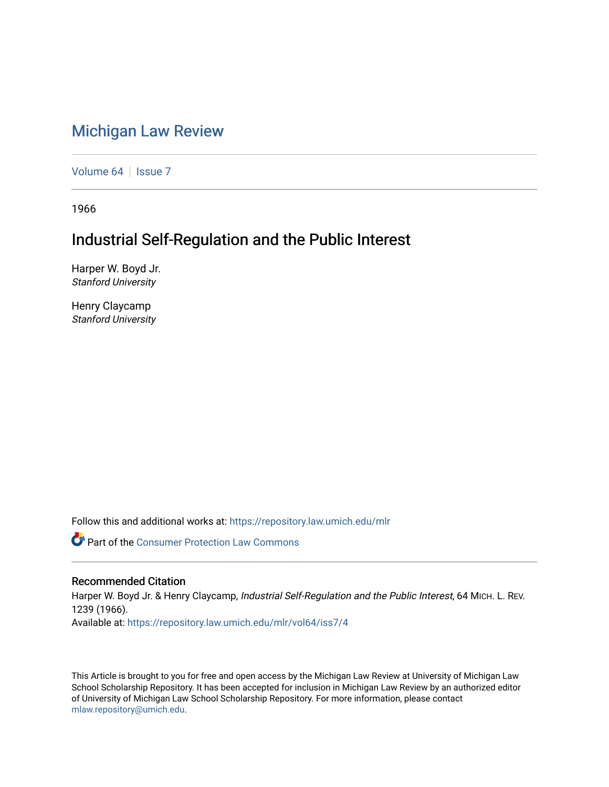# [Michigan Law Review](https://repository.law.umich.edu/mlr)

[Volume 64](https://repository.law.umich.edu/mlr/vol64) | [Issue 7](https://repository.law.umich.edu/mlr/vol64/iss7)

1966

# Industrial Self-Regulation and the Public Interest

Harper W. Boyd Jr. Stanford University

Henry Claycamp Stanford University

Follow this and additional works at: [https://repository.law.umich.edu/mlr](https://repository.law.umich.edu/mlr?utm_source=repository.law.umich.edu%2Fmlr%2Fvol64%2Fiss7%2F4&utm_medium=PDF&utm_campaign=PDFCoverPages) 

**Part of the Consumer Protection Law Commons** 

## Recommended Citation

Harper W. Boyd Jr. & Henry Claycamp, Industrial Self-Regulation and the Public Interest, 64 MICH. L. REV. 1239 (1966). Available at: [https://repository.law.umich.edu/mlr/vol64/iss7/4](https://repository.law.umich.edu/mlr/vol64/iss7/4?utm_source=repository.law.umich.edu%2Fmlr%2Fvol64%2Fiss7%2F4&utm_medium=PDF&utm_campaign=PDFCoverPages)

This Article is brought to you for free and open access by the Michigan Law Review at University of Michigan Law School Scholarship Repository. It has been accepted for inclusion in Michigan Law Review by an authorized editor of University of Michigan Law School Scholarship Repository. For more information, please contact [mlaw.repository@umich.edu.](mailto:mlaw.repository@umich.edu)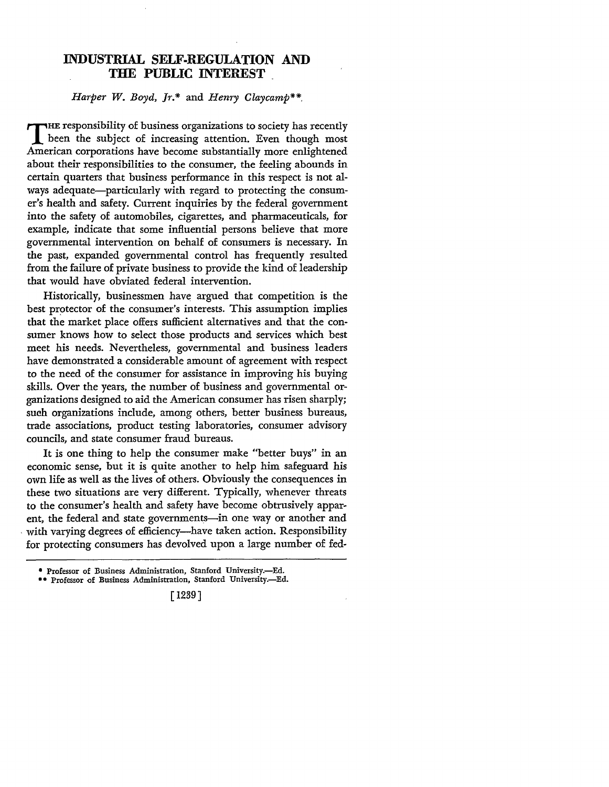# **INDUSTRIAL SELF-REGULATION AND THE PUBLIC INTEREST**

*Harper W. Boyd, Jr.\** and *Henry Claycamp\*\*,* 

THE responsibility of business organizations to society has recently<br>been the subject of increasing attention. Even though most<br>American corporations have become substantially more enlightened American corporations have become substantially more enlightened about their responsibilities to the consumer, the feeling abounds in certain quarters that business performance in this respect is not always adequate-particularly with regard to protecting the consumer's health and safety. Current inquiries by the federal government into the safety of automobiles, cigarettes, and pharmaceuticals, for example, indicate that some influential persons believe that more governmental intervention on behalf of consumers is necessary. **In**  the *past,* expanded governmental control has frequently resulted from the failure of private business to provide the kind of leadership that would have obviated federal intervention.

Historically, businessmen have argued that competition is the best protector of the consumer's interests. This assumption implies that the market place offers sufficient alternatives and that the consumer knows how to select those products and services which best meet his needs. Nevertheless, governmental and business leaders have demonstrated a considerable amount of agreement with respect to the need of the consumer for assistance in improving his buying skills. Over the years, the number of business and governmental organizations designed to aid the American consumer has risen sharply; such organizations include, among others, better business bureaus, trade associations, product testing laboratories, consumer advisory councils, and state consumer fraud bureaus.

It is one thing to help the consumer make "better buys" in an economic sense, but it is quite another to help him safeguard his own life as well as the lives of others. Obviously the consequences in these two situations are very different. Typically, whenever threats to the consumer's health and safety have become obtrusively apparent, the federal and state governments-in one way or another and with varying degrees of efficiency—have taken action. Responsibility for protecting consumers has devolved upon a large number of fed-

### [ 1239]

<sup>•</sup> Professor of Business Administration, Stanford University.-Ed.

<sup>• •</sup> Professor of Business Administration, Stanford University.-Ed.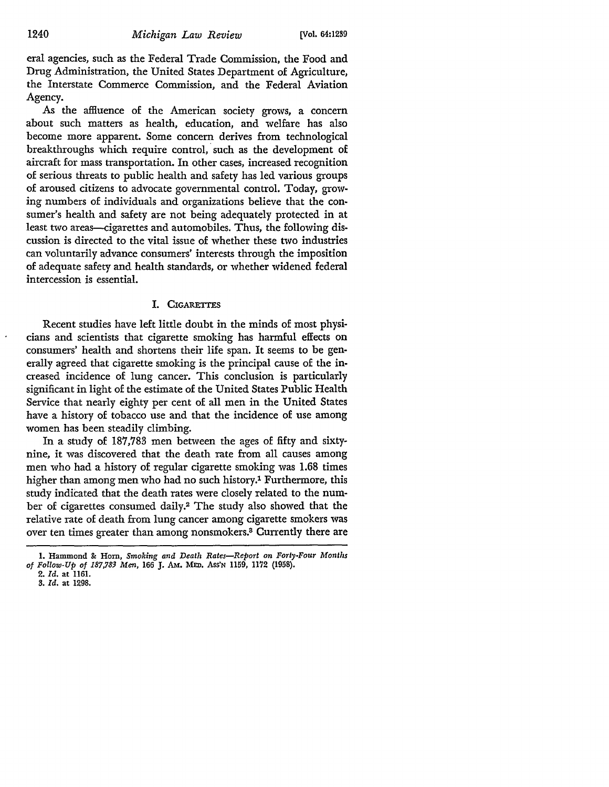era! agencies, such as the Federal Trade Commission, the Food and Drug Administration, the United States Department of Agriculture, the Interstate Commerce Commission, and the Federal Aviation Agency.

As the affluence of the American society grows, a concern about such matters as health, education, and welfare has also become more apparent. Some concern derives from technological breakthroughs which require control, such as the development of aircraft for mass transportation. In other cases, increased recognition of serious threats to public health and safety has led various groups of aroused citizens to advocate governmental control. Today, growing numbers of individuals and organizations believe that the consumer's health and safety are not being adequately protected in at least two areas-cigarettes and automobiles. Thus, the following discussion is directed to the vital issue of whether these two industries can voluntarily advance consumers' interests through the imposition of adequate safety and health standards, or whether widened federal intercession is essential.

## I. **CIGARETIES**

Recent studies have left little doubt in the minds of most physicians and scientists that cigarette smoking has harmful effects on consumers' health and shortens their life span. It seems to be generally agreed that cigarette smoking is the principal cause of the increased incidence of lung cancer. This conclusion is particularly significant in light of the estimate of the United States Public Health Service that nearly eighty per cent of all men in the United States have a history of tobacco use and that the incidence of use among women has been steadily climbing.

In a study of 187,783 men between the ages of fifty and sixtynine, it was discovered that the death rate from all causes among men who had a history of regular cigarette smoking was 1.68 times higher than among men who had no such history.1 Furthermore, this study indicated that the death rates were closely related to the number of cigarettes consumed daily.2 The study also showed that the relative rate of death from lung cancer among cigarette smokers was over ten times greater than among nonsmokers.3 Currently there are

<sup>1.</sup> Hammond &: Hom, *Smoking and Death Rates-Report on Forty-Four Months of Follow-Up of 187,783 Men,* 166 J. AM. MED. Ass'N 1159, 1172 (1958).

<sup>2.</sup> *Id.* at 1161.

<sup>3.</sup> *Id.* at 1298.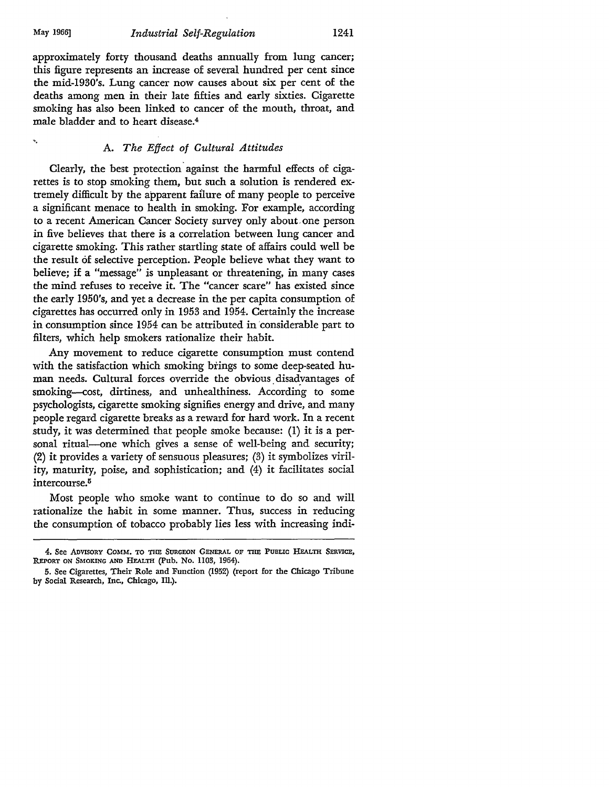$\mathbf{v}_i$ 

approximately forty thousand deaths annually from lung cancer; this figure represents an increase of several hundred per cent since the mid-1930's. Lung cancer now causes about six per cent of the deaths among men in their late fifties and early sixties. Cigarette smoking has also been linked to cancer of the mouth, throat, and male bladder and to heart disease.<sup>4</sup>

## A. *The Effect of Cultural Attitudes*

Clearly, the best protection against the harmful effects of cigarettes is to stop smoking them, but such a solution is rendered extremely difficult by the apparent failure of many people to perceive a significant menace to health in smoking. For example, according to a recent American Cancer Society survey only about, one person in five believes that there is a correlation between lung cancer and cigarette smoking. This rather startling state of affairs could well be the result of selective perception. People believe what they want to believe; if a "message" is unpleasant or threatening, in many cases the mind refuses to receive it. The "cancer scare" has existed since the early 1950's, and yet a decrease in the per capita consumption of cigarettes has occurred only in 1953 and 1954. Certainly the increase in consumption since 1954 can be attributed in 'considerable part to filters, which help smokers rationalize their habit.

Any movement to reduce cigarette consumption must contend with the satisfaction which smoking brings to some deep-seated human needs. Cultural forces override the obvious disadvantages of smoking-cost, dirtiness, and unhealthiness. According to some psychologists, cigarette smoking signifies energy and drive, and many people regard cigarette breaks as a reward for hard work. In a recent study, it was determined that people smoke because: (1) it is a personal ritual-one which gives a sense of well-being and security; (2) it provides a variety of sensuous pleasures; (3) it symbolizes virility, maturity, poise, and sophistication; and (4) it facilitates social intercourse.<sup>5</sup>

Most people who smoke want to continue to do so and will rationalize the habit in some manner. Thus, success in reducing the consumption of tobacco probably lies less with increasing indi-

<sup>4.</sup> See ADVISORY COMM. TO THE SURGEON GENERAL OF THE PUBLIC HEALTH SERVICE, REPORT ON SMOKING AND HEALTH (Pub. No. 1103, 1964).

<sup>5.</sup> See Cigarettes, Their Role and Function (1952) (report for the Chicago Tribune by Social Research, Inc., Chicago, Ill.).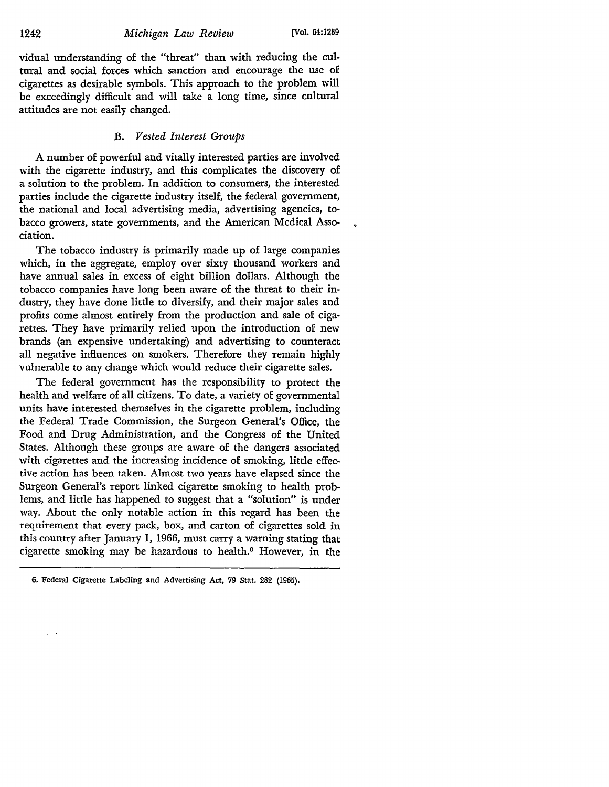1242 *Michigan Law Review* [Vol. 64:1239

vidual understanding of the "threat" than with reducing the cultural and social forces which sanction and encourage the use of cigarettes as desirable symbols. This approach to the problem will be exceedingly difficult and will take a long time, since cultural attitudes are not easily changed.

#### B. *Vested Interest Groups*

A number of powerful and vitally interested parties are involved with the cigarette industry, and this complicates the discovery of a solution to the problem. In addition to consumers, the interested parties include the cigarette industry itself, the federal government, the national and local advertising media, advertising agencies, tobacco growers, state governments, and the American Medical Association.

The tobacco industry is primarily made up of large companies which, in the aggregate, employ over sixty thousand workers and have annual sales in excess of eight billion dollars. Although the tobacco companies have long been aware of the threat to their industry, they have done little to diversify, and their major sales and profits come almost entirely from the production and sale of cigarettes. They have primarily relied upon the introduction of new brands (an expensive undertaking) and advertising to counteract all negative influences on smokers. Therefore they remain highly vulnerable to any change which would reduce their cigarette sales.

The federal government has the responsibility to protect the health and welfare of all citizens. To date, a variety of governmental units have interested themselves in the cigarette problem, including the Federal Trade Commission, the Surgeon General's Office, the Food and Drug Administration, and the Congress of the United States. Although these groups are aware of the dangers associated with cigarettes and the increasing incidence of smoking, little effective action has been taken. Almost two years have elapsed since the Surgeon General's report linked cigarette smoking to health problems, and little has happened to suggest that a "solution" is under way. About the only notable action in this regard has been the requirement that every pack, box, and carton of cigarettes sold in this country after January I, 1966, must carry a warning stating that cigarette smoking may be hazardous to health. 6 However, in the

<sup>6.</sup> Federal Cigarette Labeling and Advertising Act, 79 Stat. 282 (1965).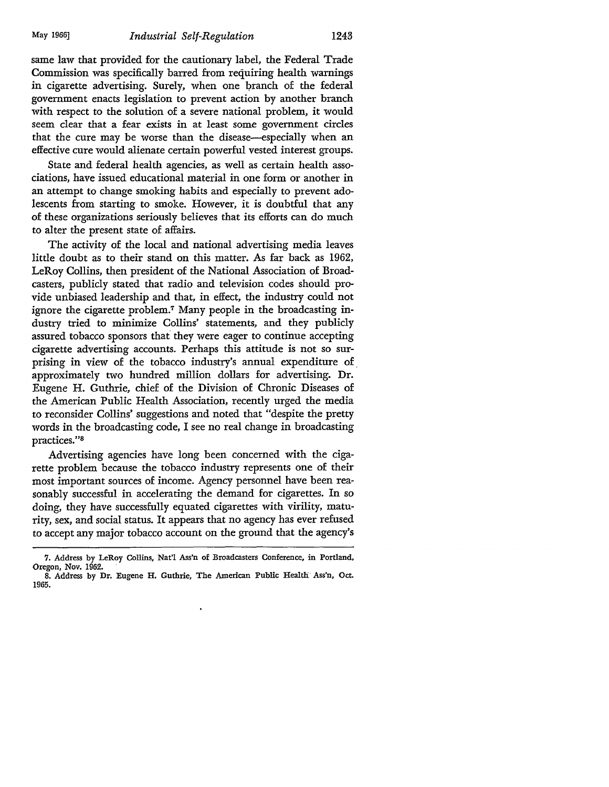same law that provided for the cautionary label, the Federal Trade Commission was specifically barred from requiring health warnings in cigarette advertising. Surely, when one branch of the federal government enacts legislation to prevent action by another branch with respect to the solution of a severe national problem, it would seem clear that a fear exists in at least some government circles that the cure may be worse than the disease—especially when an effective cure would alienate certain powerful vested interest groups.

State and federal health agencies, as well as certain health associations, have issued educational material in one form or another in an attempt to change smoking habits and especially to prevent adolescents from starting to smoke. However, it is doubtful that any of these organizations seriously believes that its efforts can do much to alter the present state of affairs.

The activity of the local and national advertising media leaves little doubt as to their stand on this matter. As far back as 1962, LeRoy Collins, then president of the National Association of Broadcasters, publicly stated that radio and television codes should provide unbiased leadership and that, in effect, the industry could not ignore the cigarette problem.7 Many people in the broadcasting industry tried to minimize Collins' statements, and they publicly assured tobacco sponsors that they were eager to continue accepting cigarette advertising accounts. Perhaps this attitude is not so surprising in view of the tobacco industry's annual expenditure of. approximately two hundred million dollars for advertising. Dr. Eugene H. Guthrie, chief of the Division of Chronic Diseases of the American Public Health Association, recently urged the media to reconsider Collins' suggestions and noted that "despite the pretty words in the broadcasting code, I see no real change in broadcasting practices."<sup>8</sup>

Advertising agencies have long been concerned with the cigarette problem because the tobacco industry represents one of their most important sources of income. Agency personnel have been reasonably successful in accelerating the demand for cigarettes. In so doing, they have successfully equated cigarettes with virility, maturity, sex, and social status. It appears that no agency has ever refused to accept any major tobacco account on the ground that the agency's

<sup>7.</sup> Address by LeRoy Collins, Nat'l Ass'n of Broadcasters Conference, in Portland, Oregon, Nov. 1962.

<sup>8.</sup> Address by Dr. Eugene H. Guthrie, The American Public Health Ass'n, Oct. 1965.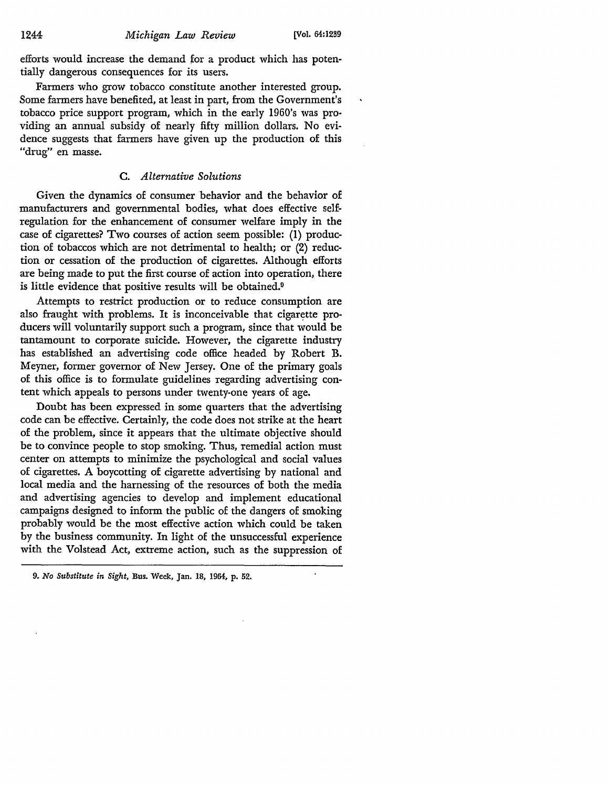efforts would increase the demand for a product which has potentially dangerous consequences for its users.

Farmers who grow tobacco constitute another interested group. Some farmers have benefited, at least in part, from the Government's tobacco price support program, which in the early 1960's was pro• viding an annual subsidy of nearly fifty million dollars. No evidence suggests that farmers have given up the production of this "drug" en masse.

# C. *Alternative Solutions*

Given the dynamics of consumer behavior and the behavior of manufacturers and governmental bodies, what does effective selfregulation for the enhancement of consumer welfare imply in the case of cigarettes? Two courses of action seem possible: (1) production of tobaccos which are not detrimental to health; or (2) reduction or cessation of the production of cigarettes. Although efforts are being made to put the first course of action into operation, there is little evidence that positive results will be obtained.<sup>9</sup>

Attempts to restrict production or to reduce consumption are also fraught with problems. It is inconceivable that cigarette producers will voluntarily support such a program, since that would be tantamount to corporate suicide. However, the cigarette industry has established an advertising code office headed by Robert B. Meyner, former governor of New Jersey. One of the primary goals of this office is to formulate guidelines regarding advertising con• tent which appeals to persons under twenty-one years of age.

Doubt has been expressed in some quarters that the advertising code can be effective. Certainly, the code does not strike at the heart of the problem, since it appears that the ultimate objective should be to convince people to stop smoking. Thus, remedial action must center on attempts to minimize the psychological and social values of cigarettes. A boycotting of cigarette advertising by national and local media and the harnessing of the resources of both the media and advertising agencies to develop and implement educational campaigns designed to inform the public of the dangers of smoking probably would be the most effective action which could be taken by the business community. In light of the unsuccessful experience with the Volstead Act, extreme action, such as the suppression of

<sup>9.</sup> *No Substitute in Sight,* Bus. Week, Jan. 18, 1964, p. 52.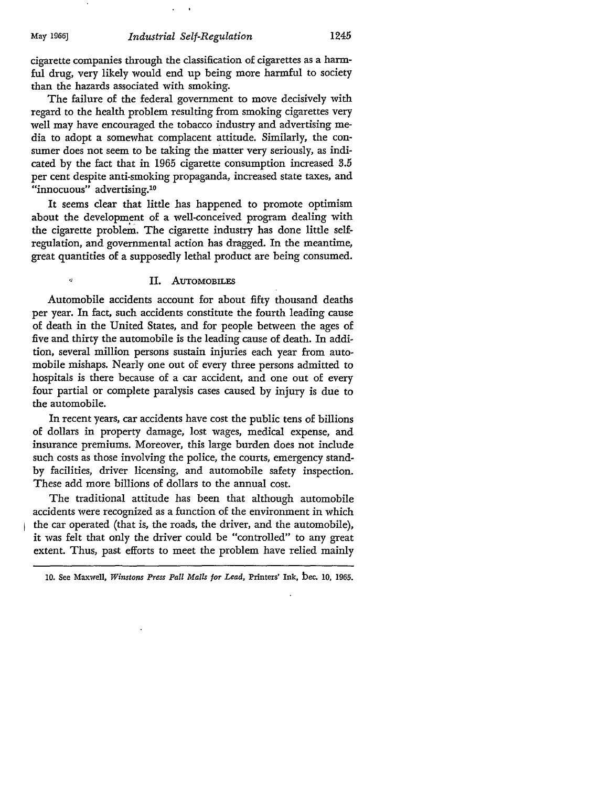$\epsilon$ 

cigarette companies through the classification of cigarettes as a harmful drug, very likely would end up being more harmful to society than the hazards associated with smoking.

The failure of the federal government to move decisively with regard to the health problem resulting from smoking cigarettes very well may have encouraged the tobacco industry and advertising media to adopt a somewhat complacent attitude. Similarly, the consumer does not seem to be taking the matter very seriously, as indicated by the fact that in 1965 cigarette consumption increased 3.5 per cent despite anti-smoking propaganda, increased state taxes, and "innocuous" advertising.<sup>10</sup>

It seems clear that little has happened to promote optimism about the development of a well-conceived program dealing with the cigarette problem. The cigarette industry has done little selfregulation, and governmental action has dragged. In the meantime, great quantities of a supposedly lethal product are being consumed.

#### II. AUTOMOBILES

Automobile accidents account for about fifty thousand deaths per year. In fact, such accidents constitute the fourth leading cause of death in the United States, and for people between the ages of five and thirty the automobile is the leading cause of death. In addition, several million persons sustain injuries each year from automobile mishaps. Nearly one out of every three persons admitted to hospitals is there because of a car accident, and one out of every four partial or complete paralysis cases caused by injury is due to the automobile.

In recent years, car accidents have cost the public tens of billions of dollars in property damage, lost wages, medical expense, and insurance premiums. Moreover, this large burden does not include such costs as those involving the police, the courts, emergency standby facilities, driver licensing, and automobile safety inspection. These add more billions of dollars to the annual cost.

The traditional attitude has been that although automobile accidents were recognized as a function of the environment in which the car operated (that is, the roads, the driver, and the automobile), it was felt that only the driver could be "controlled" to any great extent. Thus, past efforts to meet the problem have relied mainly

IO. See Maxwell, *Winstons Press Pall Malls for Lead,* Printers' Ink, bee. 10, 1965.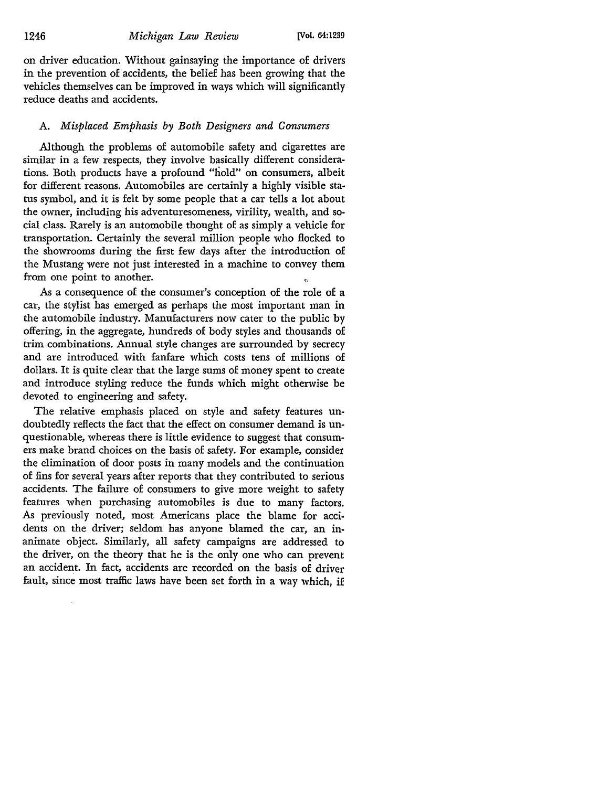on driver education. Without gainsaying the importance of drivers in the prevention of accidents, the belief has been growing that the vehicles themselves can be improved in ways which will significantly reduce deaths and accidents.

## A. *Misplaced Emphasis* by *Both Designers and Consumers*

Although the problems of automobile safety and cigarettes are similar in a few respects, they involve basically different considerations. Both products have a profound "hold" on consumers, albeit for different reasons. Automobiles are certainly a highly visible status symbol, and it is felt by some people that a car tells a lot about the owner, including his adventuresomeness, virility, wealth, and social class. Rarely is an automobile thought of as simply a vehicle for transportation. Certainly the several million people who flocked to the showrooms during the first few days after the introduction of the Mustang were not just interested in a machine to convey them from one point to another.

As a consequence of the consumer's conception of the role of a car, the stylist has emerged as perhaps the most important man in the automobile industry. Manufacturers now cater to the public by offering, in the aggregate, hundreds of body styles and thousands of trim combinations. Annual style changes are surrounded by secrecy and are introduced with fanfare which costs tens of millions of dollars. It is quite clear that the large sums of money spent to create and introduce styling reduce the funds which might othenvise be devoted to engineering and safety.

The relative emphasis placed on style and safety features undoubtedly reflects the fact that the effect on consumer demand is unquestionable, whereas there is little evidence to suggest that consumers make brand choices on the basis of safety. For example, consider the elimination of door posts in many models and the continuation of fins for several years after reports that they contributed to serious accidents. The failure of consumers to give more weight to safety features when purchasing automobiles is due to many factors. As previously noted, most Americans place the blame for accidents on the driver; seldom has anyone blamed the car, an inanimate object. Similarly, all safety campaigns are addressed to the driver, on the theory that he is the only one who can prevent an accident. In fact, accidents are recorded on the basis of driver fault, since most traffic laws have been set forth in a way which, if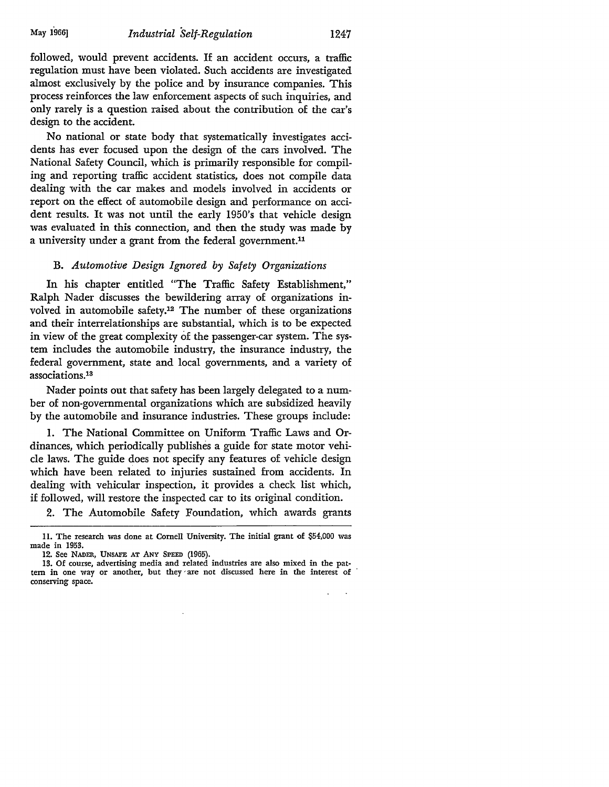followed, would prevent accidents. If an accident occurs, a traffic regulation must have been violated. Such accidents are investigated almost exclusively by the police and by insurance companies. This process reinforces the law enforcement aspects of such inquiries, and only rarely is a question raised about the contribution of the car's design to the accident.

No national or state body that systematically investigates accidents has ever focused upon the design of the cars involved. The National Safety Council, which is primarily responsible for compiling and reporting traffic accident statistics, does not compile data dealing with the car makes and models involved in accidents or report on the effect of automobile design and performance on accident results. It was not until the early 1950's that vehicle design was evaluated in this connection, and then the study was made by a university under a grant from the federal government.<sup>11</sup>

### B. *Automotive Design Ignored by Safety Organizations*

In his chapter entitled "The Traffic Safety Establishment," Ralph Nader discusses the bewildering array of organizations involved in automobile safety.12 The number of these organizations and their interrelationships are substantial, which is to be expected in view of the great complexity of the passenger-car system. The system includes the automobile industry, the insurance industry, the federal government, state and local governments, and a variety of associations.13

Nader points out that safety has been largely delegated to a number of non-governmental organizations which are subsidized heavily by the automobile and insurance industries. These groups include:

I. The National Committee on Uniform Traffic Laws and Ordinances, which periodically publishes a guide for state motor vehicle laws. The guide does not specify any features of vehicle design which have been related to injuries sustained from accidents. In dealing with vehicular inspection, it provides a check list which, if followed, will restore the inspected car to its original condition.

2. The Automobile Safety Foundation, which awards grants

<sup>11.</sup> The research was done at Cornell University. The initial grant of \$54,000 was made in 1953.

<sup>12.</sup> See NADER, UNSAFE AT ANY SPEED (1965).

<sup>13.</sup> Of course, advertising media and related industries are also mixed in the pattern in one way or another, but they are not discussed here in the interest of conserving space.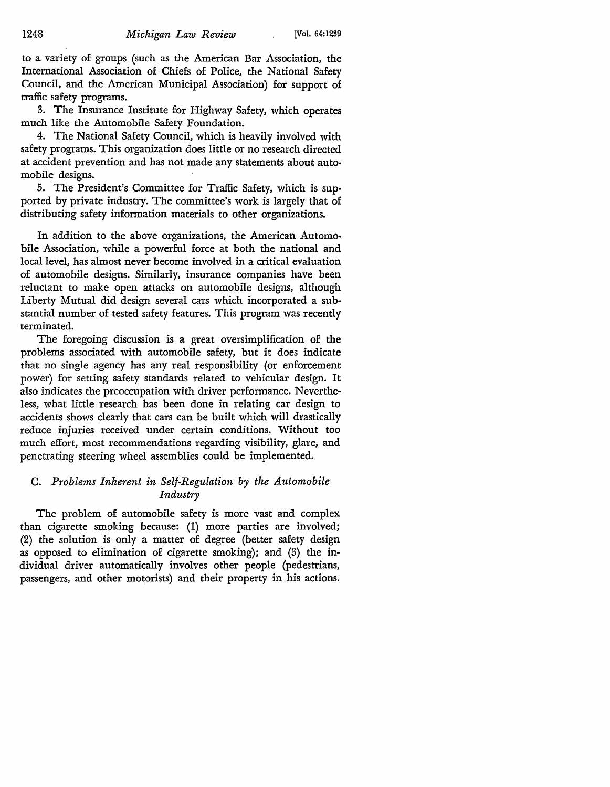to a variety of groups (such as the American Bar Association, the International Association of Chiefs of Police, the National Safety Council, and the American Municipal Association) for support of traffic safety programs.

3. The Insurance Institute for Highway Safety, which operates much like the Automobile Safety Foundation.

4. The National Safety Council, which is heavily involved with safety programs. This organization does little or no research directed at accident prevention and has not made any statements about auto• mobile designs.

5. The President's Committee for Traffic Safety, which is sup• ported by private industry. The committee's work is largely that of distributing safety information materials to other organizations.

In addition to the above organizations, the American Automobile Association, while a powerful force at both the national and local level, has almost never become involved in a critical evaluation of automobile designs. Similarly, insurance companies have been reluctant to make open attacks on automobile designs, although Liberty Mutual did design several cars which incorporated a substantial number of tested safety features. This program was recently terminated.

The foregoing discussion is a great oversimplification of the problems associated with automobile safety, but it does indicate that no single agency has any real responsibility (or enforcement power) for setting safety standards related to vehicular design. It also indicates the preoccupation with driver performance. Nevertheless, what little research has been done in relating car design to accidents shows clearly that cars can be built which will drastically reduce injuries received under certain conditions. Without too much effort, most recommendations regarding visibility, glare, and penetrating steering wheel assemblies could be implemented.

# C. *Problems Inherent in Self-Regulation by the Automobile Industry*

The problem of automobile safety is more vast and complex than cigarette smoking because: (1) more parties are involved; (2) the solution is only a matter of degree (better safety design as opposed to elimination of cigarette smoking); and (3) the individual driver automatically involves other people (pedestrians, passengers, and other motorists) and their property in his actions.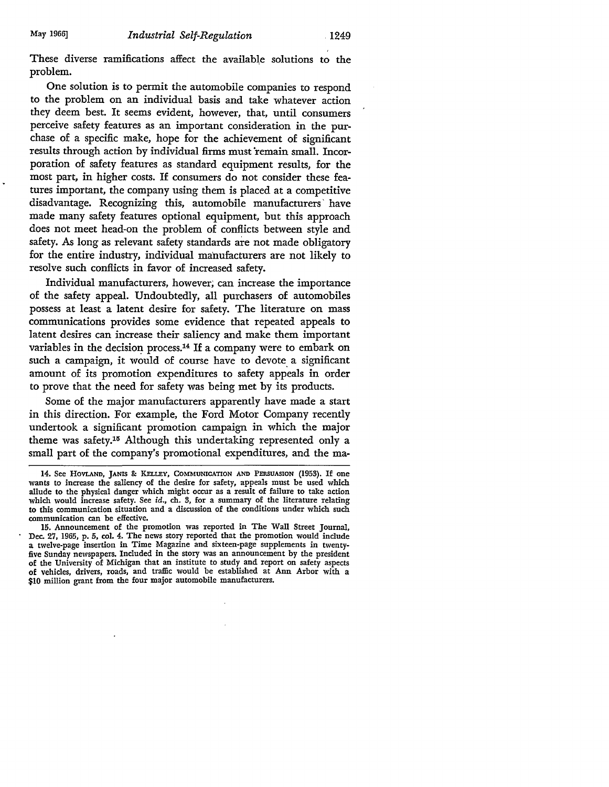These diverse ramifications affect the available solutions to the problem.

One solution is to permit the automobile companies to respond to the problem on an individual basis and take whatever action they deem best. It seems evident, however, that, until consumers perceive safety features as an important consideration in the purchase of a specific make, hope for the achievement of significant results through action by individual firms must remain small. Incorporation of safety features as standard equipment results, for the most part, in higher costs. If consumers do not consider these features important, the company using them is placed at a competitive disadvantage. Recognizing this, automobile manufacturers have made many safety features optional equipment, but this approach does not meet head-on the problem of conflicts between style and safety. As long as relevant safety standards are not made obligatory for the entire industry, individual manufacturers are not likely to resolve such conflicts in favor of increased safety.

Individual manufacturers, however; can increase the importance of the safety appeal. Undoubtedly, all purchasers of automobiles possess at least a latent desire for safety. The literature on mass communications provides some evidence that repeated appeals to latent desires can increase their saliency and make them important variables in the decision process.<sup>14</sup> If a company were to embark on such a campaign, it would of course have to devote a significant amount of its promotion expenditures to safety appeals in order to prove that the need for safety was being met by its products.

Some of the major manufacturers apparently have made a start in this direction. For example, the Ford Motor Company recently undertook a significant promotion campaign in which the major theme was safety.<sup>15</sup> Although this undertaking represented only a small part of the company's promotional expenditures, and the ma-

<sup>14.</sup> See HOVLAND, JANIS & KELLEY, COMMUNICATION AND PERSUASION (1953). If one wants to increase the saliency of the desire for safety, appeals must be used which allude to the physical danger which might occur as a result of failure to take action which would increase safety. See id., ch. 3, for a summary of the literature relating to this communication situation and a discussion of the conditions under which such communication can be effective.

<sup>15.</sup> Announcement of the promotion was reported in The Wall Street Journal, Dec. 27, 1965, p. 5, col. 4. The news story reported that the promotion would include a twelve-page insertion in Time Magazine and sixteen-page supplements in twentyfive Sunday newspapers. Included in the story was an announcement by the president of the University of Michigan that an institute to study and report on safety aspects of vehicles, drivers, roads, and traffic would be established at Ann Arbor with a \$10 million grant from the four major automobile manufacturers.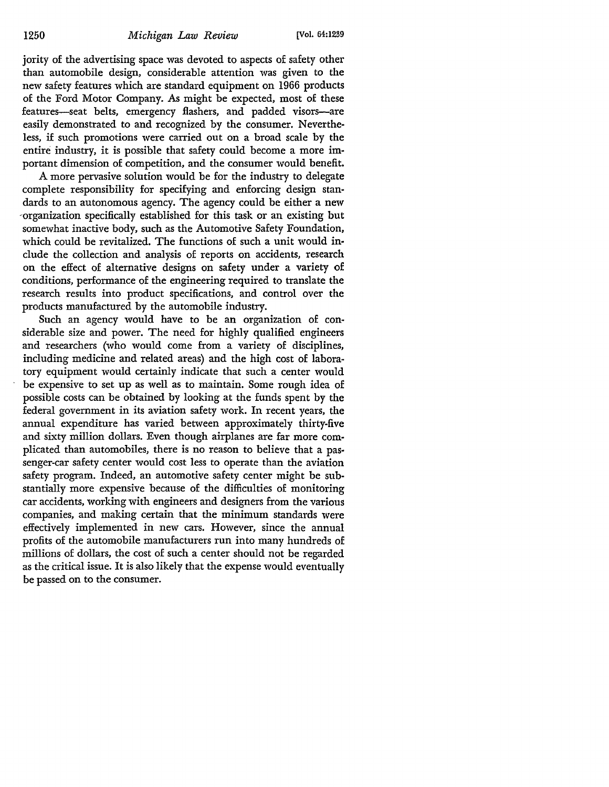jority of the advertising space was devoted to aspects of safety other than automobile design, considerable attention was given to the new safety features which are standard equipment on 1966 products of the Ford Motor Company. *As* might be expected, most of these features-seat belts, emergency flashers, and padded visors-are easily demonstrated to and recognized by the consumer. Nevertheless, if such promotions were carried out on a broad scale by the entire industry, it is possible that safety could become a more important dimension of competition, and the consumer would benefit.

A more pervasive solution would be for the industry to delegate complete responsibility for specifying and enforcing design standards to an autonomous agency. The agency could be either a new -organization specifically established for this task or an existing but somewhat inactive body, such as the Automotive Safety Foundation, which could be revitalized. The functions of such a unit would include the collection and analysis of reports on accidents, research on the effect of alternative designs on safety under a variety of conditions, performance of the engineering required to translate the research results into product specifications, and control over the products manufactured by the automobile industry.

Such an agency would have to be an organization of considerable size and power. The need for highly qualified engineers and researchers (who would come from a variety of disciplines, including medicine and related areas) and the high cost of laboratory equipment would certainly indicate that such a center would be expensive to set up as well as to maintain. Some rough idea of possible costs can be obtained by looking at the funds spent by the federal government in its aviation safety work. In recent years, the annual expenditure has varied between approximately thirty-five and sixty million dollars. Even though airplanes are far more complicated than automobiles, there is no reason to believe that a passenger-car safety center would cost less to operate than the aviation safety program. Indeed, an automotive safety center might be substantially more expensive because of the difficulties of monitoring car accidents, working with engineers and designers from the various companies, and making certain that the minimum standards were effectively implemented in new cars. However, since the annual profits of the automobile manufacturers run into many hundreds of millions of dollars, the cost of such a center should not be regarded as the critical issue. It is also likely that the expense would eventually be passed on to the consumer.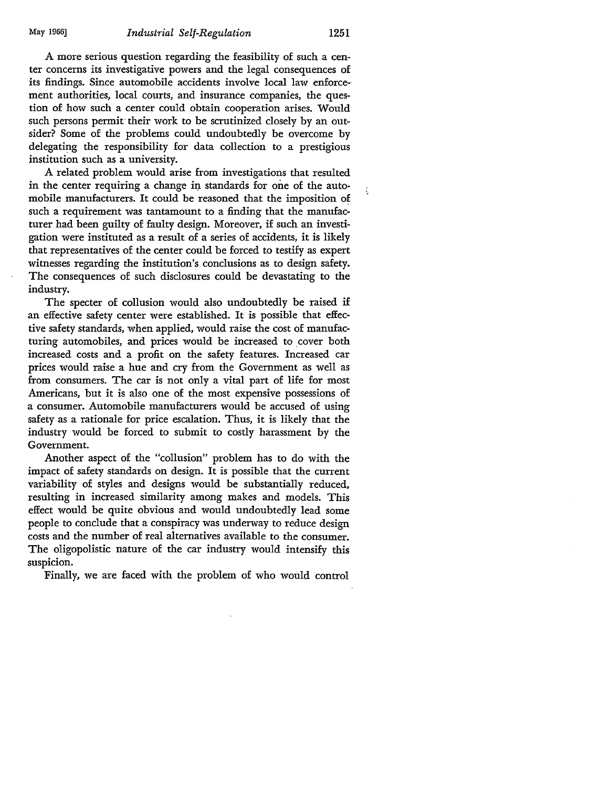ĭ,

A more serious question regarding the feasibility of such a center concerns its investigative powers and the legal consequences of its findings. Since automobile accidents involve local law enforcement authorities, local courts, and insurance companies, the question of how such a center could obtain cooperation arises. Would such persons permit their work to be scrutinized closely by an outsider? Some of the problems could undoubtedly be overcome by delegating the responsibility for data collection to a prestigious institution such as a university.

A related problem would arise from investigations that resulted in the center requiring a change in standards for one of the automobile manufacturers. It could be reasoned that the imposition of such a requirement was tantamount to a finding that the manufacturer had been guilty of faulty design. Moreover, if such an investigation were instituted as a result of a series of accidents, it is likely that representatives of the center could be forced to testify as expert witnesses regarding the institution's conclusions as to design safety. The consequences of such disclosures could be devastating to the industry.

The specter of collusion would also undoubtedly be raised if an effective safety center were established. It is possible that effective safety standards, when applied, would raise the cost of manufacturing automobiles, and prices would be increased to cover both increased costs and a profit on the safety features. Increased car prices would raise a hue and cry from the Government as well as from consumers. The car is not only a vital part of life for most Americans, but it is also one of the most expensive possessions of a consumer. Automobile manufacturers would be accused of using safety as a rationale for price escalation. Thus, it is likely that the industry would be forced to submit to costly harassment by the Government.

Another aspect of the "collusion" problem has to do with the impact of safety standards on design. It is possible that the current variability of styles and designs would be substantially reduced, resulting in increased similarity among makes and models. This effect would be quite obvious and would undoubtedly lead some people to conclude that a conspiracy was underway to reduce design costs and the number of real alternatives available to the consumer. The oligopolistic nature of the car industry would intensify this suspicion.

Finally, we are faced with the problem of who would control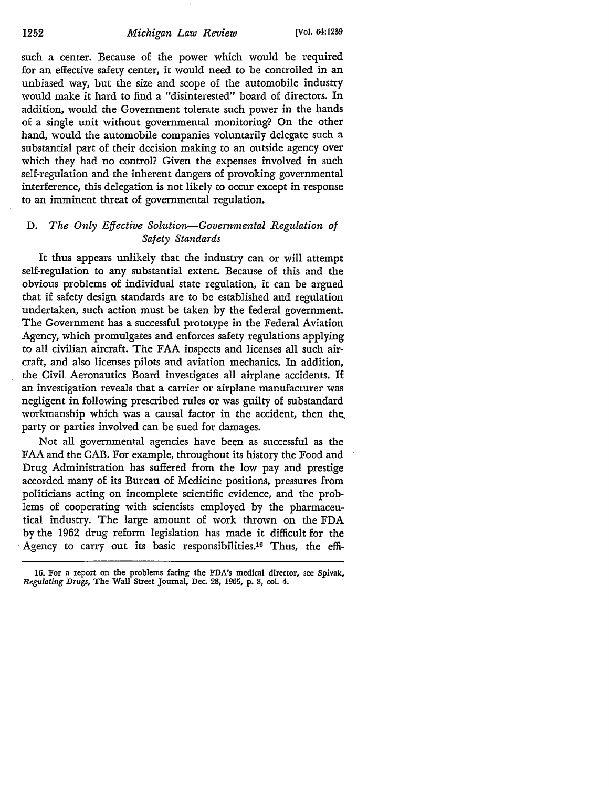such a center. Because of the power which would be required for an effective safety center, it would need to be controlled in an unbiased way, but the size and scope of the automobile industry would make it hard to find a "disinterested" board of directors. In addition, would the Government tolerate such power in the hands of a single unit without governmental monitoring? On the other hand, would the automobile companies voluntarily delegate such a substantial part of their decision making to an outside agency over which they had no control? Given the expenses involved in such self-regulation and the inherent dangers of provoking governmental interference, this delegation is not likely to occur except in response to an imminent threat of governmental regulation.

## D. *The Only Effective Solution-Governmental Regulation of Sa/ ety Standards*

It thus appears unlikely that the industry can or will attempt self-regulation to any substantial extent. Because of this and the obvious problems of individual state regulation, it can be argued that if safety design standards are to be established and regulation undertaken, such action must be taken by the federal government. The Government has a successful prototype in the Federal Aviation Agency, which promulgates and enforces safety regulations applying to all civilian aircraft. The FAA inspects and licenses all such aircraft, and also licenses pilots and aviation mechanics. In addition, the Civil Aeronautics Board investigates all airplane accidents. If an investigation reveals that a carrier or airplane manufacturer was negligent in following prescribed rules or was guilty of substandard workmanship which was a causal factor in the accident, then the party or parties involved can be sued for damages.

Not all governmental agencies have been as successful as **the**  FAA and the CAB. For example, throughout its history the Food and Drug Administration has suffered from the low pay and prestige accorded many of its Bureau of Medicine positions, pressures from politicians acting on incomplete scientific evidence, and the problems of cooperating with scientists employed by the pharmaceutical industry. The large amount of work thrown on the FDA by the 1962 drug reform legislation has made it difficult for the Agency to carry out its basic responsibilities.<sup>16</sup> Thus, the effi-

<sup>16.</sup> For a report on the problems facing the FDA's medical director, see Spivak, *Regulating Drugs,* The Wall Street Journal, Dec. 28, 1965, p. 8, col. 4.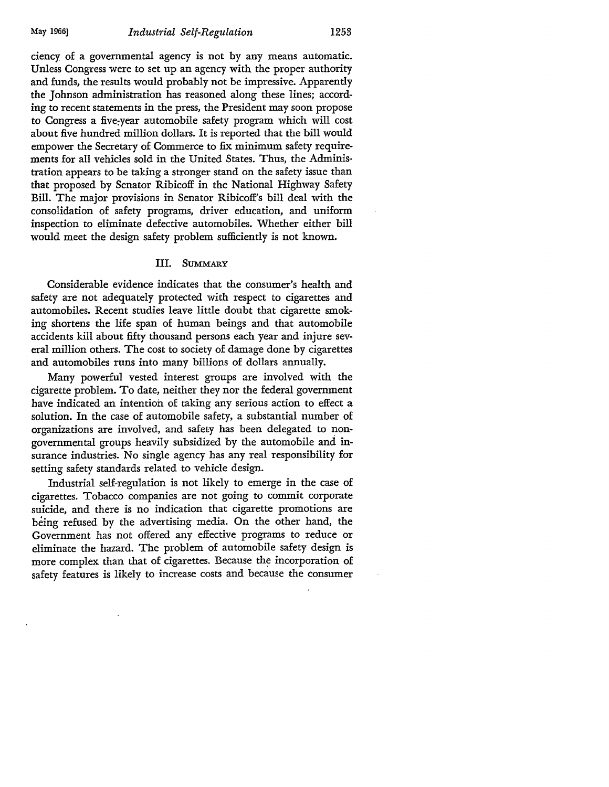ciency of a governmental agency is not by any means automatic. Unless Congress were to set up an agency with the proper authority and funds, the results would probably not be impressive. Apparently the Johnson administration has reasoned along these lines; according to recent statements in the press, the President may soon propose to Congress a five;year automobile safety program which will cost about five hundred million dollars. It is reported that the bill would empower the Secretary of Commerce to fix minimum safety requirements for all vehicles sold in the United States. Thus, the Administration appears to be taking a stronger stand on the safety issue than that proposed by Senator Ribicoff in the National Highway Safety Bill. The major provisions in Senator Ribicoff's bill deal with the consolidation of safety programs, driver education, and uniform inspection to eliminate defective automobiles. Whether either bill would meet the design safety problem sufficiently is not known.

## III. SUMMARY

Considerable evidence indicates that the consumer's health and safety are not adequately protected with respect to cigarettes and automobiles. Recent studies leave little doubt that cigarette smoking shortens the life span of human beings and that automobile accidents kill about fifty thousand persons each year and injure several million others. The cost to society of damage done by cigarettes and automobiles runs into many billions of dollars annually.

Many powerful vested interest groups are involved with the cigarette problem. To date, neither they nor the federal government have indicated an intention of taking any serious action to effect a solution. In the case of automobile safety, a substantial number of organizations are involved, and safety has been delegated to nongovernmental groups heavily subsidized by the automobile and insurance industries. No single agency has any real responsibility for setting safety standards related to vehicle design.

Industrial self-regulation is not likely to emerge in the case of cigarettes. Tobacco companies are not going to commit corporate suicide, and there is no indication that cigarette promotions are being refused by the advertising media. On the other hand, the Government has not offered any effective programs to reduce or eliminate the hazard. The problem of automobile safety design is more complex than that of cigarettes. Because the incorporation of safety features is likely to increase costs and because the consumer